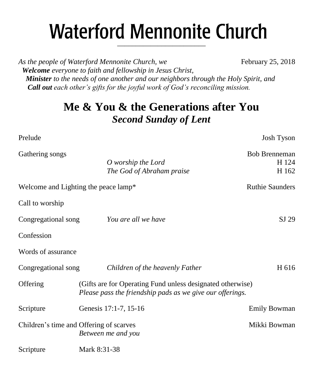# **Waterford Mennonite Church** \_\_\_\_\_\_\_\_\_\_\_\_\_\_\_\_\_\_\_\_\_\_\_\_

As the people of Waterford Mennonite Church, we February 25, 2018  *Welcome everyone to faith and fellowship in Jesus Christ, Minister to the needs of one another and our neighbors through the Holy Spirit, and Call out each other's gifts for the joyful work of God's reconciling mission.*

## **Me & You & the Generations after You** *Second Sunday of Lent*

| Prelude                                 |                                                                                                                         | Josh Tyson                             |  |
|-----------------------------------------|-------------------------------------------------------------------------------------------------------------------------|----------------------------------------|--|
| Gathering songs                         | O worship the Lord<br>The God of Abraham praise                                                                         | <b>Bob Brenneman</b><br>H 124<br>H 162 |  |
| Welcome and Lighting the peace lamp*    |                                                                                                                         | <b>Ruthie Saunders</b>                 |  |
| Call to worship                         |                                                                                                                         |                                        |  |
| Congregational song                     | You are all we have                                                                                                     | SJ 29                                  |  |
| Confession                              |                                                                                                                         |                                        |  |
| Words of assurance                      |                                                                                                                         |                                        |  |
| Congregational song                     | Children of the heavenly Father                                                                                         | H 616                                  |  |
| Offering                                | (Gifts are for Operating Fund unless designated otherwise)<br>Please pass the friendship pads as we give our offerings. |                                        |  |
| Scripture                               | Genesis 17:1-7, 15-16                                                                                                   | <b>Emily Bowman</b>                    |  |
| Children's time and Offering of scarves | Between me and you                                                                                                      | Mikki Bowman                           |  |
| Scripture                               | Mark 8:31-38                                                                                                            |                                        |  |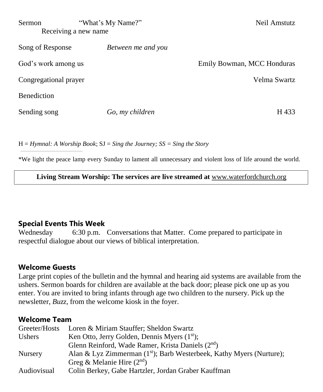| "What's My Name?"<br><b>Sermon</b><br>Receiving a new name |                    | Neil Amstutz               |
|------------------------------------------------------------|--------------------|----------------------------|
| Song of Response                                           | Between me and you |                            |
| God's work among us                                        |                    | Emily Bowman, MCC Honduras |
| Congregational prayer                                      |                    | Velma Swartz               |
| <b>Benediction</b>                                         |                    |                            |
| Sending song                                               | Go, my children    | H 433                      |

H = *Hymnal: A Worship Book*; SJ = *Sing the Journey; SS = Sing the Story*

\*We light the peace lamp every Sunday to lament all unnecessary and violent loss of life around the world.

**Living Stream Worship: The services are live streamed at** [www.waterfordchurch.org](http://www.waterfordchurch.org/)

## **Special Events This Week**

Wednesday 6:30 p.m. Conversations that Matter. Come prepared to participate in respectful dialogue about our views of biblical interpretation.

## **Welcome Guests**

Large print copies of the bulletin and the hymnal and hearing aid systems are available from the ushers. Sermon boards for children are available at the back door; please pick one up as you enter. You are invited to bring infants through age two children to the nursery. Pick up the newsletter, *Buzz,* from the welcome kiosk in the foyer.

#### **Welcome Team**

| Greeter/Hosts  | Loren & Miriam Stauffer; Sheldon Swartz                                          |
|----------------|----------------------------------------------------------------------------------|
| <b>Ushers</b>  | Ken Otto, Jerry Golden, Dennis Myers $(1st)$ ;                                   |
|                | Glenn Reinford, Wade Ramer, Krista Daniels (2 <sup>nd</sup> )                    |
| <b>Nursery</b> | Alan & Lyz Zimmerman (1 <sup>st</sup> ); Barb Westerbeek, Kathy Myers (Nurture); |
|                | Greg & Melanie Hire $(2nd)$                                                      |
| Audiovisual    | Colin Berkey, Gabe Hartzler, Jordan Graber Kauffman                              |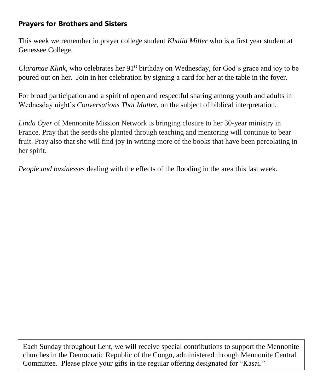## **Prayers for Brothers and Sisters**

This week we remember in prayer college student *Khalid Miller* who is a first year student at Genessee College.

*Claramae Klink,* who celebrates her 91<sup>st</sup> birthday on Wednesday, for God's grace and joy to be poured out on her. Join in her celebration by signing a card for her at the table in the foyer.

For broad participation and a spirit of open and respectful sharing among youth and adults in Wednesday night's *Conversations That Matter,* on the subject of biblical interpretation.

*Linda Oyer* of Mennonite Mission Network is bringing closure to her 30-year ministry in France. Pray that the seeds she planted through teaching and mentoring will continue to bear fruit. Pray also that she will find joy in writing more of the books that have been percolating in her spirit.

*People and businesses* dealing with the effects of the flooding in the area this last week.

Each Sunday throughout Lent, we will receive special contributions to support the Mennonite churches in the Democratic Republic of the Congo, administered through Mennonite Central Committee. Please place your gifts in the regular offering designated for "Kasai."